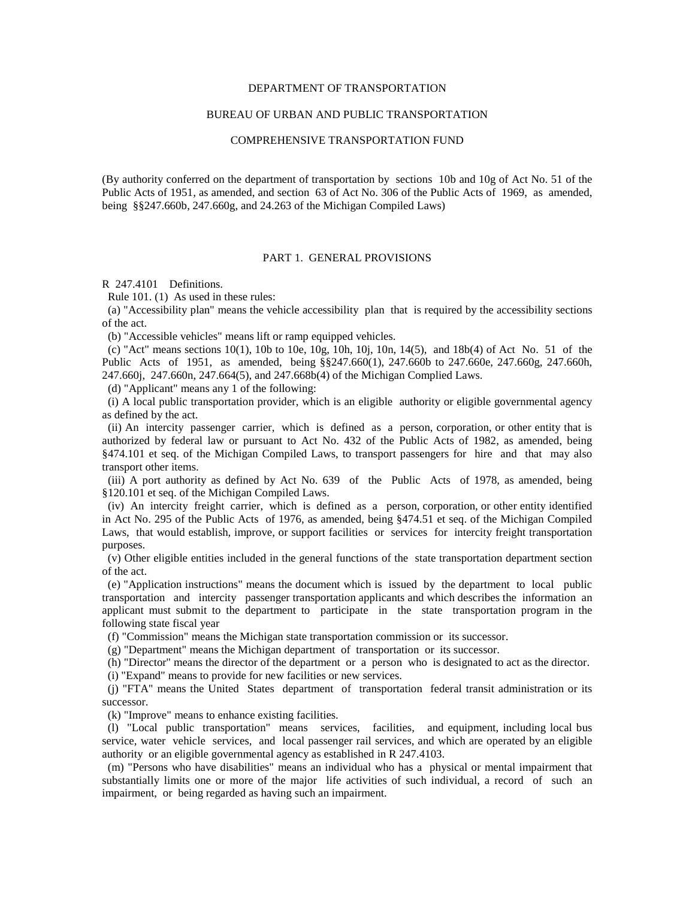## DEPARTMENT OF TRANSPORTATION

## BUREAU OF URBAN AND PUBLIC TRANSPORTATION

### COMPREHENSIVE TRANSPORTATION FUND

(By authority conferred on the department of transportation by sections 10b and 10g of Act No. 51 of the Public Acts of 1951, as amended, and section 63 of Act No. 306 of the Public Acts of 1969, as amended, being §§247.660b, 247.660g, and 24.263 of the Michigan Compiled Laws)

#### PART 1. GENERAL PROVISIONS

R 247.4101 Definitions.

Rule 101. (1) As used in these rules:

 (a) "Accessibility plan" means the vehicle accessibility plan that is required by the accessibility sections of the act.

(b) "Accessible vehicles" means lift or ramp equipped vehicles.

 (c) "Act" means sections 10(1), 10b to 10e, 10g, 10h, 10j, 10n, 14(5), and 18b(4) of Act No. 51 of the Public Acts of 1951, as amended, being §§247.660(1), 247.660b to 247.660e, 247.660g, 247.660h, 247.660j, 247.660n, 247.664(5), and 247.668b(4) of the Michigan Complied Laws.

(d) "Applicant" means any 1 of the following:

 (i) A local public transportation provider, which is an eligible authority or eligible governmental agency as defined by the act.

 (ii) An intercity passenger carrier, which is defined as a person, corporation, or other entity that is authorized by federal law or pursuant to Act No. 432 of the Public Acts of 1982, as amended, being §474.101 et seq. of the Michigan Compiled Laws, to transport passengers for hire and that may also transport other items.

 (iii) A port authority as defined by Act No. 639 of the Public Acts of 1978, as amended, being §120.101 et seq. of the Michigan Compiled Laws.

 (iv) An intercity freight carrier, which is defined as a person, corporation, or other entity identified in Act No. 295 of the Public Acts of 1976, as amended, being §474.51 et seq. of the Michigan Compiled Laws, that would establish, improve, or support facilities or services for intercity freight transportation purposes.

 (v) Other eligible entities included in the general functions of the state transportation department section of the act.

 (e) "Application instructions" means the document which is issued by the department to local public transportation and intercity passenger transportation applicants and which describes the information an applicant must submit to the department to participate in the state transportation program in the following state fiscal year

(f) "Commission" means the Michigan state transportation commission or its successor.

(g) "Department" means the Michigan department of transportation or its successor.

(h) "Director" means the director of the department or a person who is designated to act as the director.

(i) "Expand" means to provide for new facilities or new services.

 (j) "FTA" means the United States department of transportation federal transit administration or its successor.

(k) "Improve" means to enhance existing facilities.

 (l) "Local public transportation" means services, facilities, and equipment, including local bus service, water vehicle services, and local passenger rail services, and which are operated by an eligible authority or an eligible governmental agency as established in R 247.4103.

 (m) "Persons who have disabilities" means an individual who has a physical or mental impairment that substantially limits one or more of the major life activities of such individual, a record of such an impairment, or being regarded as having such an impairment.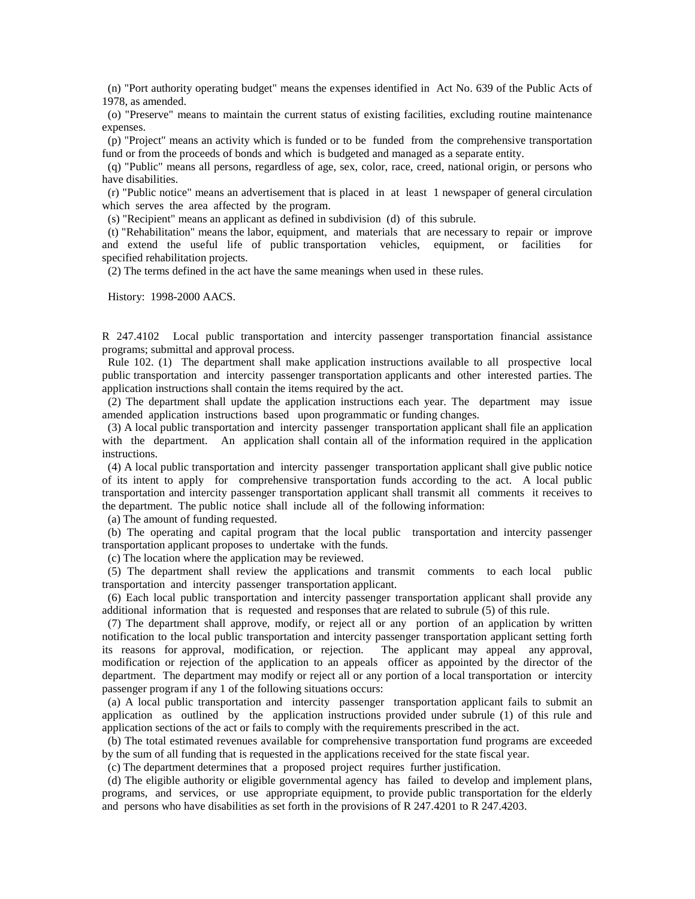(n) "Port authority operating budget" means the expenses identified in Act No. 639 of the Public Acts of 1978, as amended.

 (o) "Preserve" means to maintain the current status of existing facilities, excluding routine maintenance expenses.

 (p) "Project" means an activity which is funded or to be funded from the comprehensive transportation fund or from the proceeds of bonds and which is budgeted and managed as a separate entity.

 (q) "Public" means all persons, regardless of age, sex, color, race, creed, national origin, or persons who have disabilities.

 (r) "Public notice" means an advertisement that is placed in at least 1 newspaper of general circulation which serves the area affected by the program.

(s) "Recipient" means an applicant as defined in subdivision (d) of this subrule.

 (t) "Rehabilitation" means the labor, equipment, and materials that are necessary to repair or improve and extend the useful life of public transportation vehicles, equipment, or facilities for specified rehabilitation projects.

(2) The terms defined in the act have the same meanings when used in these rules.

History: 1998-2000 AACS.

R 247.4102 Local public transportation and intercity passenger transportation financial assistance programs; submittal and approval process.

 Rule 102. (1) The department shall make application instructions available to all prospective local public transportation and intercity passenger transportation applicants and other interested parties. The application instructions shall contain the items required by the act.

 (2) The department shall update the application instructions each year. The department may issue amended application instructions based upon programmatic or funding changes.

 (3) A local public transportation and intercity passenger transportation applicant shall file an application with the department. An application shall contain all of the information required in the application instructions.

 (4) A local public transportation and intercity passenger transportation applicant shall give public notice of its intent to apply for comprehensive transportation funds according to the act. A local public transportation and intercity passenger transportation applicant shall transmit all comments it receives to the department. The public notice shall include all of the following information:

(a) The amount of funding requested.

 (b) The operating and capital program that the local public transportation and intercity passenger transportation applicant proposes to undertake with the funds.

(c) The location where the application may be reviewed.

 (5) The department shall review the applications and transmit comments to each local public transportation and intercity passenger transportation applicant.

 (6) Each local public transportation and intercity passenger transportation applicant shall provide any additional information that is requested and responses that are related to subrule (5) of this rule.

 (7) The department shall approve, modify, or reject all or any portion of an application by written notification to the local public transportation and intercity passenger transportation applicant setting forth its reasons for approval, modification, or rejection. The applicant may appeal any approval, modification or rejection of the application to an appeals officer as appointed by the director of the department. The department may modify or reject all or any portion of a local transportation or intercity passenger program if any 1 of the following situations occurs:

 (a) A local public transportation and intercity passenger transportation applicant fails to submit an application as outlined by the application instructions provided under subrule (1) of this rule and application sections of the act or fails to comply with the requirements prescribed in the act.

 (b) The total estimated revenues available for comprehensive transportation fund programs are exceeded by the sum of all funding that is requested in the applications received for the state fiscal year.

(c) The department determines that a proposed project requires further justification.

 (d) The eligible authority or eligible governmental agency has failed to develop and implement plans, programs, and services, or use appropriate equipment, to provide public transportation for the elderly and persons who have disabilities as set forth in the provisions of R 247.4201 to R 247.4203.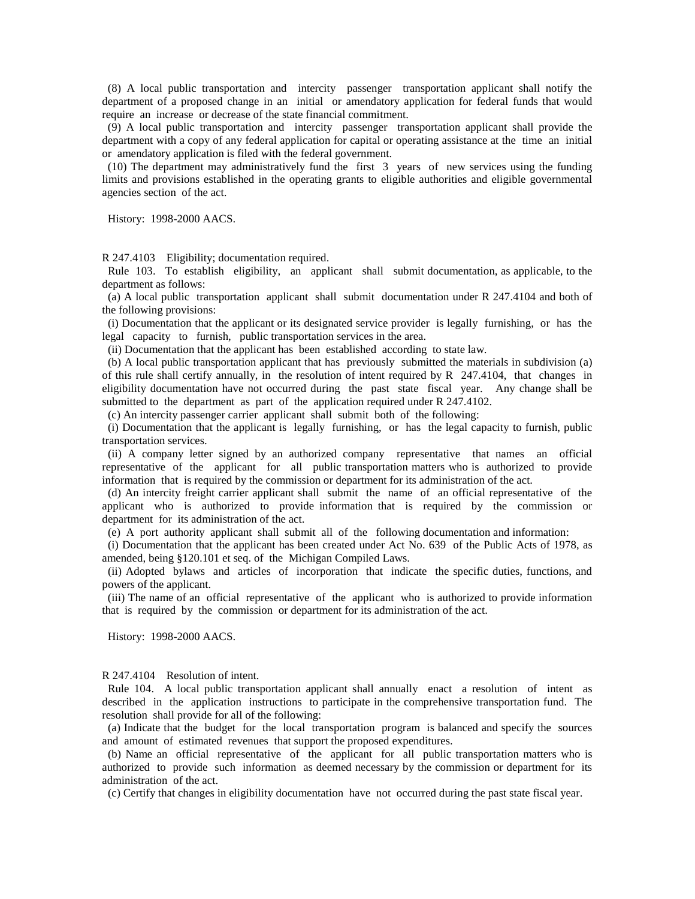(8) A local public transportation and intercity passenger transportation applicant shall notify the department of a proposed change in an initial or amendatory application for federal funds that would require an increase or decrease of the state financial commitment.

 (9) A local public transportation and intercity passenger transportation applicant shall provide the department with a copy of any federal application for capital or operating assistance at the time an initial or amendatory application is filed with the federal government.

 (10) The department may administratively fund the first 3 years of new services using the funding limits and provisions established in the operating grants to eligible authorities and eligible governmental agencies section of the act.

History: 1998-2000 AACS.

R 247.4103 Eligibility; documentation required.

 Rule 103. To establish eligibility, an applicant shall submit documentation, as applicable, to the department as follows:

 (a) A local public transportation applicant shall submit documentation under R 247.4104 and both of the following provisions:

 (i) Documentation that the applicant or its designated service provider is legally furnishing, or has the legal capacity to furnish, public transportation services in the area.

(ii) Documentation that the applicant has been established according to state law.

 (b) A local public transportation applicant that has previously submitted the materials in subdivision (a) of this rule shall certify annually, in the resolution of intent required by  $R$  247.4104, that changes in eligibility documentation have not occurred during the past state fiscal year. Any change shall be submitted to the department as part of the application required under R 247.4102.

(c) An intercity passenger carrier applicant shall submit both of the following:

 (i) Documentation that the applicant is legally furnishing, or has the legal capacity to furnish, public transportation services.

 (ii) A company letter signed by an authorized company representative that names an official representative of the applicant for all public transportation matters who is authorized to provide information that is required by the commission or department for its administration of the act.

 (d) An intercity freight carrier applicant shall submit the name of an official representative of the applicant who is authorized to provide information that is required by the commission or department for its administration of the act.

(e) A port authority applicant shall submit all of the following documentation and information:

 (i) Documentation that the applicant has been created under Act No. 639 of the Public Acts of 1978, as amended, being §120.101 et seq. of the Michigan Compiled Laws.

 (ii) Adopted bylaws and articles of incorporation that indicate the specific duties, functions, and powers of the applicant.

 (iii) The name of an official representative of the applicant who is authorized to provide information that is required by the commission or department for its administration of the act.

History: 1998-2000 AACS.

R 247.4104 Resolution of intent.

 Rule 104. A local public transportation applicant shall annually enact a resolution of intent as described in the application instructions to participate in the comprehensive transportation fund. The resolution shall provide for all of the following:

 (a) Indicate that the budget for the local transportation program is balanced and specify the sources and amount of estimated revenues that support the proposed expenditures.

 (b) Name an official representative of the applicant for all public transportation matters who is authorized to provide such information as deemed necessary by the commission or department for its administration of the act.

(c) Certify that changes in eligibility documentation have not occurred during the past state fiscal year.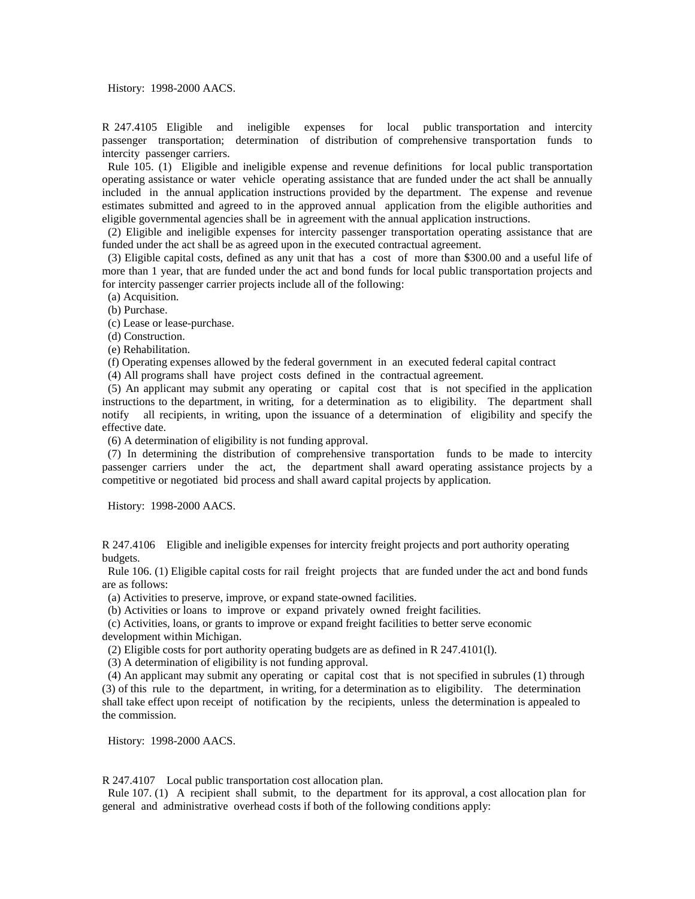History: 1998-2000 AACS.

R 247.4105 Eligible and ineligible expenses for local public transportation and intercity passenger transportation; determination of distribution of comprehensive transportation funds to intercity passenger carriers.

 Rule 105. (1) Eligible and ineligible expense and revenue definitions for local public transportation operating assistance or water vehicle operating assistance that are funded under the act shall be annually included in the annual application instructions provided by the department. The expense and revenue estimates submitted and agreed to in the approved annual application from the eligible authorities and eligible governmental agencies shall be in agreement with the annual application instructions.

 (2) Eligible and ineligible expenses for intercity passenger transportation operating assistance that are funded under the act shall be as agreed upon in the executed contractual agreement.

 (3) Eligible capital costs, defined as any unit that has a cost of more than \$300.00 and a useful life of more than 1 year, that are funded under the act and bond funds for local public transportation projects and for intercity passenger carrier projects include all of the following:

(a) Acquisition.

(b) Purchase.

(c) Lease or lease-purchase.

(d) Construction.

(e) Rehabilitation.

(f) Operating expenses allowed by the federal government in an executed federal capital contract

(4) All programs shall have project costs defined in the contractual agreement.

 (5) An applicant may submit any operating or capital cost that is not specified in the application instructions to the department, in writing, for a determination as to eligibility. The department shall notify all recipients, in writing, upon the issuance of a determination of eligibility and specify the effective date.

(6) A determination of eligibility is not funding approval.

 (7) In determining the distribution of comprehensive transportation funds to be made to intercity passenger carriers under the act, the department shall award operating assistance projects by a competitive or negotiated bid process and shall award capital projects by application.

History: 1998-2000 AACS.

R 247.4106 Eligible and ineligible expenses for intercity freight projects and port authority operating budgets.

 Rule 106. (1) Eligible capital costs for rail freight projects that are funded under the act and bond funds are as follows:

(a) Activities to preserve, improve, or expand state-owned facilities.

(b) Activities or loans to improve or expand privately owned freight facilities.

 (c) Activities, loans, or grants to improve or expand freight facilities to better serve economic development within Michigan.

(2) Eligible costs for port authority operating budgets are as defined in R 247.4101(l).

(3) A determination of eligibility is not funding approval.

 (4) An applicant may submit any operating or capital cost that is not specified in subrules (1) through (3) of this rule to the department, in writing, for a determination as to eligibility. The determination shall take effect upon receipt of notification by the recipients, unless the determination is appealed to the commission.

History: 1998-2000 AACS.

R 247.4107 Local public transportation cost allocation plan.

 Rule 107. (1) A recipient shall submit, to the department for its approval, a cost allocation plan for general and administrative overhead costs if both of the following conditions apply: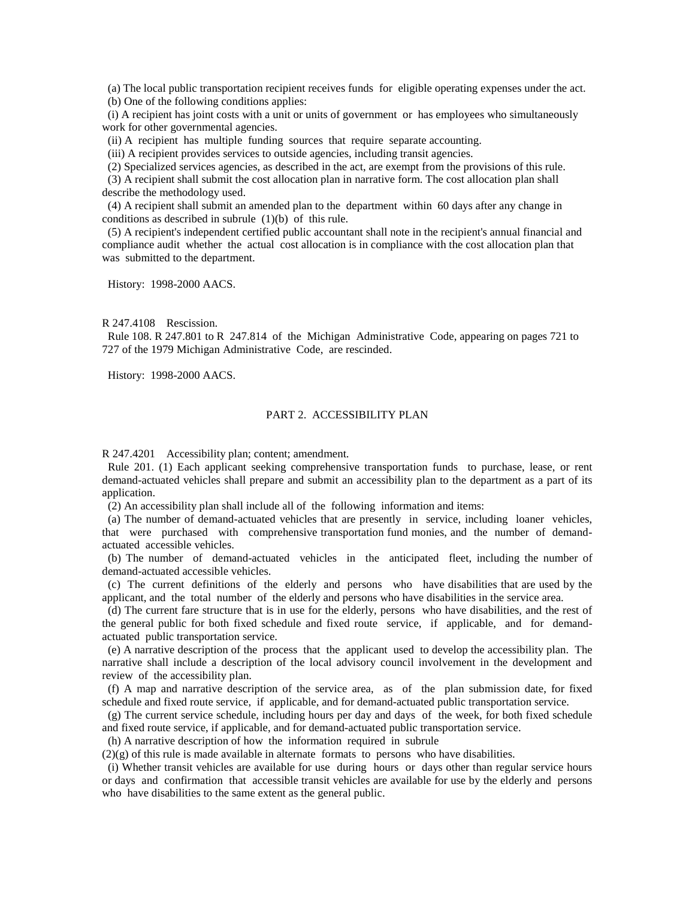(a) The local public transportation recipient receives funds for eligible operating expenses under the act. (b) One of the following conditions applies:

 (i) A recipient has joint costs with a unit or units of government or has employees who simultaneously work for other governmental agencies.

(ii) A recipient has multiple funding sources that require separate accounting.

(iii) A recipient provides services to outside agencies, including transit agencies.

(2) Specialized services agencies, as described in the act, are exempt from the provisions of this rule.

 (3) A recipient shall submit the cost allocation plan in narrative form. The cost allocation plan shall describe the methodology used.

 (4) A recipient shall submit an amended plan to the department within 60 days after any change in conditions as described in subrule (1)(b) of this rule.

 (5) A recipient's independent certified public accountant shall note in the recipient's annual financial and compliance audit whether the actual cost allocation is in compliance with the cost allocation plan that was submitted to the department.

History: 1998-2000 AACS.

R 247.4108 Rescission.

 Rule 108. R 247.801 to R 247.814 of the Michigan Administrative Code, appearing on pages 721 to 727 of the 1979 Michigan Administrative Code, are rescinded.

History: 1998-2000 AACS.

# PART 2. ACCESSIBILITY PLAN

R 247.4201 Accessibility plan; content; amendment.

 Rule 201. (1) Each applicant seeking comprehensive transportation funds to purchase, lease, or rent demand-actuated vehicles shall prepare and submit an accessibility plan to the department as a part of its application.

(2) An accessibility plan shall include all of the following information and items:

 (a) The number of demand-actuated vehicles that are presently in service, including loaner vehicles, that were purchased with comprehensive transportation fund monies, and the number of demandactuated accessible vehicles.

 (b) The number of demand-actuated vehicles in the anticipated fleet, including the number of demand-actuated accessible vehicles.

 (c) The current definitions of the elderly and persons who have disabilities that are used by the applicant, and the total number of the elderly and persons who have disabilities in the service area.

 (d) The current fare structure that is in use for the elderly, persons who have disabilities, and the rest of the general public for both fixed schedule and fixed route service, if applicable, and for demandactuated public transportation service.

 (e) A narrative description of the process that the applicant used to develop the accessibility plan. The narrative shall include a description of the local advisory council involvement in the development and review of the accessibility plan.

 (f) A map and narrative description of the service area, as of the plan submission date, for fixed schedule and fixed route service, if applicable, and for demand-actuated public transportation service.

 (g) The current service schedule, including hours per day and days of the week, for both fixed schedule and fixed route service, if applicable, and for demand-actuated public transportation service.

(h) A narrative description of how the information required in subrule

 $(2)(g)$  of this rule is made available in alternate formats to persons who have disabilities.

 (i) Whether transit vehicles are available for use during hours or days other than regular service hours or days and confirmation that accessible transit vehicles are available for use by the elderly and persons who have disabilities to the same extent as the general public.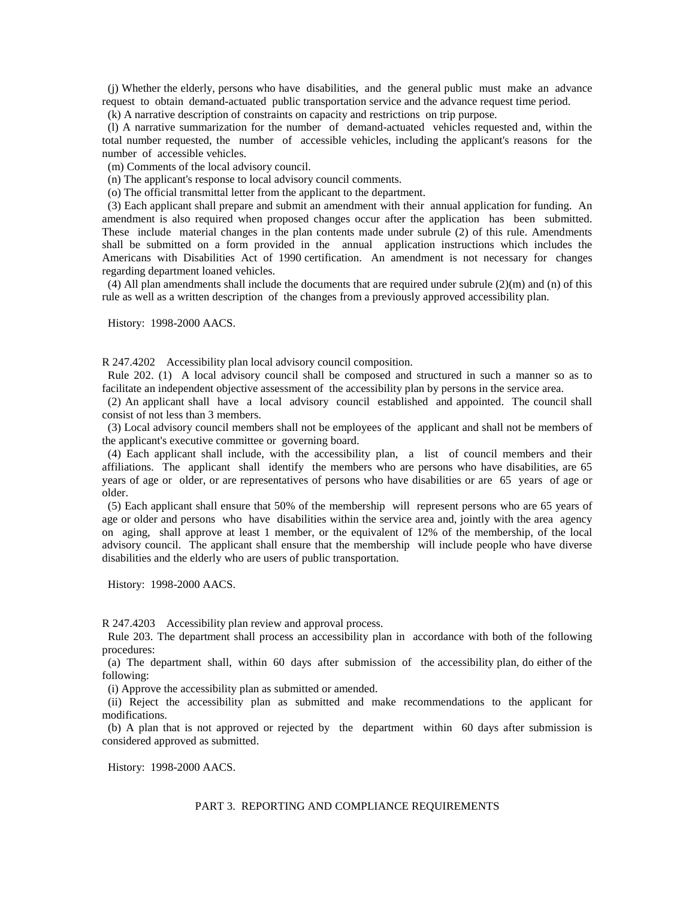(j) Whether the elderly, persons who have disabilities, and the general public must make an advance request to obtain demand-actuated public transportation service and the advance request time period.

(k) A narrative description of constraints on capacity and restrictions on trip purpose.

 (l) A narrative summarization for the number of demand-actuated vehicles requested and, within the total number requested, the number of accessible vehicles, including the applicant's reasons for the number of accessible vehicles.

(m) Comments of the local advisory council.

(n) The applicant's response to local advisory council comments.

(o) The official transmittal letter from the applicant to the department.

 (3) Each applicant shall prepare and submit an amendment with their annual application for funding. An amendment is also required when proposed changes occur after the application has been submitted. These include material changes in the plan contents made under subrule (2) of this rule. Amendments shall be submitted on a form provided in the annual application instructions which includes the Americans with Disabilities Act of 1990 certification. An amendment is not necessary for changes regarding department loaned vehicles.

(4) All plan amendments shall include the documents that are required under subrule  $(2)(m)$  and  $(n)$  of this rule as well as a written description of the changes from a previously approved accessibility plan.

History: 1998-2000 AACS.

R 247.4202 Accessibility plan local advisory council composition.

 Rule 202. (1) A local advisory council shall be composed and structured in such a manner so as to facilitate an independent objective assessment of the accessibility plan by persons in the service area.

 (2) An applicant shall have a local advisory council established and appointed. The council shall consist of not less than 3 members.

 (3) Local advisory council members shall not be employees of the applicant and shall not be members of the applicant's executive committee or governing board.

 (4) Each applicant shall include, with the accessibility plan, a list of council members and their affiliations. The applicant shall identify the members who are persons who have disabilities, are 65 years of age or older, or are representatives of persons who have disabilities or are 65 years of age or older.

 (5) Each applicant shall ensure that 50% of the membership will represent persons who are 65 years of age or older and persons who have disabilities within the service area and, jointly with the area agency on aging, shall approve at least 1 member, or the equivalent of 12% of the membership, of the local advisory council. The applicant shall ensure that the membership will include people who have diverse disabilities and the elderly who are users of public transportation.

History: 1998-2000 AACS.

R 247.4203 Accessibility plan review and approval process.

 Rule 203. The department shall process an accessibility plan in accordance with both of the following procedures:

 (a) The department shall, within 60 days after submission of the accessibility plan, do either of the following:

(i) Approve the accessibility plan as submitted or amended.

 (ii) Reject the accessibility plan as submitted and make recommendations to the applicant for modifications.

 (b) A plan that is not approved or rejected by the department within 60 days after submission is considered approved as submitted.

History: 1998-2000 AACS.

### PART 3. REPORTING AND COMPLIANCE REQUIREMENTS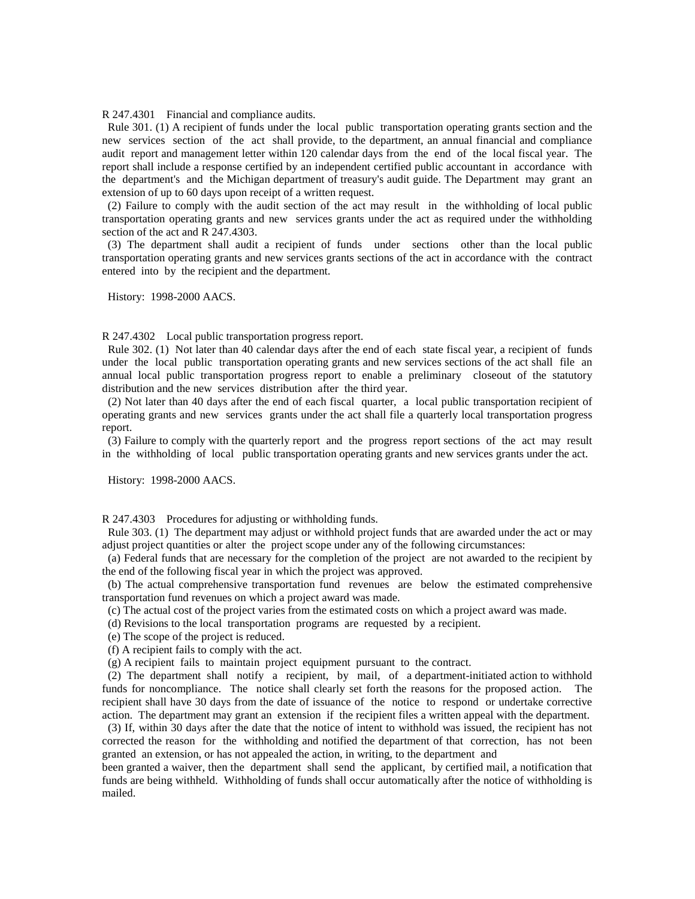R 247.4301 Financial and compliance audits.

 Rule 301. (1) A recipient of funds under the local public transportation operating grants section and the new services section of the act shall provide, to the department, an annual financial and compliance audit report and management letter within 120 calendar days from the end of the local fiscal year. The report shall include a response certified by an independent certified public accountant in accordance with the department's and the Michigan department of treasury's audit guide. The Department may grant an extension of up to 60 days upon receipt of a written request.

 (2) Failure to comply with the audit section of the act may result in the withholding of local public transportation operating grants and new services grants under the act as required under the withholding section of the act and R 247.4303.

 (3) The department shall audit a recipient of funds under sections other than the local public transportation operating grants and new services grants sections of the act in accordance with the contract entered into by the recipient and the department.

History: 1998-2000 AACS.

R 247.4302 Local public transportation progress report.

 Rule 302. (1) Not later than 40 calendar days after the end of each state fiscal year, a recipient of funds under the local public transportation operating grants and new services sections of the act shall file an annual local public transportation progress report to enable a preliminary closeout of the statutory distribution and the new services distribution after the third year.

 (2) Not later than 40 days after the end of each fiscal quarter, a local public transportation recipient of operating grants and new services grants under the act shall file a quarterly local transportation progress report.

 (3) Failure to comply with the quarterly report and the progress report sections of the act may result in the withholding of local public transportation operating grants and new services grants under the act.

History: 1998-2000 AACS.

R 247.4303 Procedures for adjusting or withholding funds.

 Rule 303. (1) The department may adjust or withhold project funds that are awarded under the act or may adjust project quantities or alter the project scope under any of the following circumstances:

 (a) Federal funds that are necessary for the completion of the project are not awarded to the recipient by the end of the following fiscal year in which the project was approved.

 (b) The actual comprehensive transportation fund revenues are below the estimated comprehensive transportation fund revenues on which a project award was made.

(c) The actual cost of the project varies from the estimated costs on which a project award was made.

- (d) Revisions to the local transportation programs are requested by a recipient.
- (e) The scope of the project is reduced.

(f) A recipient fails to comply with the act.

(g) A recipient fails to maintain project equipment pursuant to the contract.

 (2) The department shall notify a recipient, by mail, of a department-initiated action to withhold funds for noncompliance. The notice shall clearly set forth the reasons for the proposed action. The recipient shall have 30 days from the date of issuance of the notice to respond or undertake corrective action. The department may grant an extension if the recipient files a written appeal with the department.

 (3) If, within 30 days after the date that the notice of intent to withhold was issued, the recipient has not corrected the reason for the withholding and notified the department of that correction, has not been granted an extension, or has not appealed the action, in writing, to the department and

been granted a waiver, then the department shall send the applicant, by certified mail, a notification that funds are being withheld. Withholding of funds shall occur automatically after the notice of withholding is mailed.